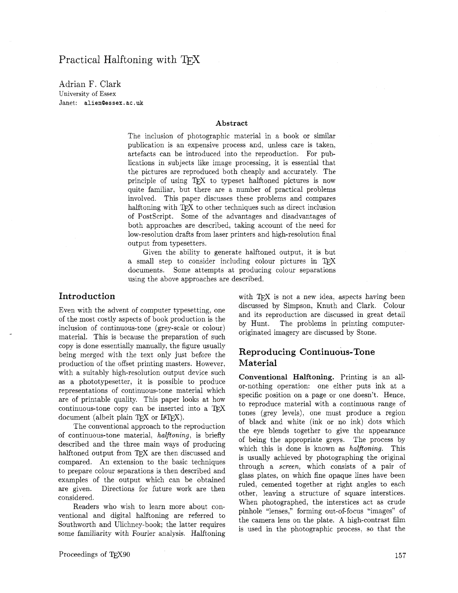Adrian F. Clark University of Essex Janet: **alienQessex** . **ac** . **uk** 

### **Abstract**

The inclusion of photographic material in a book or similar publication is an expensive process and, unless care is taken, artefacts can be introduced into the reproduction. For publications in subjects like image processing, it is essential that the pictures are reproduced both cheaply and accurately. The principle of using TFX to typeset halftoned pictures is now quite familiar, but there are a number of practical problems involved. This paper discusses these problems and compares halftoning with  $T_{\rm F}X$  to other techniques such as direct inclusion of Postscript. Some of the advantages and disadvantages of both approaches are described, taking account of the need for low-resolution drafts from laser printers and high-resolution final output from typesetters.

Given the ability to generate halftoned output, it is but a small step to consider including colour pictures in TFX documents. Some attempts at producing colour separations using the above approaches are described.

## **Introduction**

Even with the advent of computer typesetting, one of the most costly aspects of book production is the inclusion of continuous-tone (grey-scale or colour) material. This is because the preparation of such copy is done essentially manually, the figure usually being merged with the text only just before the production of the offset printing masters. However, with a suitably high-resolution output device such as a phototypesetter, it is possible to produce representations of continuous-tone material which are of printable quality. This paper looks at how continuous-tone copy can be inserted into a  $T_F X$ document (albeit plain  $Tr X$  or  $IATFX$ ).

The conventional approach to the reproduction of continuous-tone material, halftoning, is briefly described and the three main ways of producing halftoned output from TFX are then discussed and compared. An extension to the basic techniques to prepare colour separations is then described and examples of the output which can be obtained are given. Directions for future work are then considered.

Readers who wish to learn more about conventional and digital halftoning are referred to Southworth and Ulichney-book; the latter requires some familiarity with Fourier analysis. Halftoning with TFX is not a new idea, aspects having been discussed by Simpson, Knuth and Clark. Colour and its reproduction are discussed in great detail by Hunt. The problems in printing computeroriginated imagery are discussed by Stone.

## **Reproducing Continuous-Tone Material**

**Conventional Halftoning.** Printing is an allor-nothing operation: one either puts ink at a specific position on a page or one doesn't. Hence, to reproduce material with a continuous range of tones (grey levels), one must produce a region of black and white (ink or no ink) dots which the eye blends together to give the appearance of being the appropriate greys. The process by which this is done is known as *halftoning*. This is usually achieved by photographing the original through a screen, which consists of a pair of glass plates, on which fine opaque lines have been ruled, cemented together at right angles to each other, leaving a structure of square interstices. When photographed, the interstices act as crude pinhole "lenses," forming out-of-focus "images" of the camera lens on the plate. A high-contrast film is used in the photographic process, so that the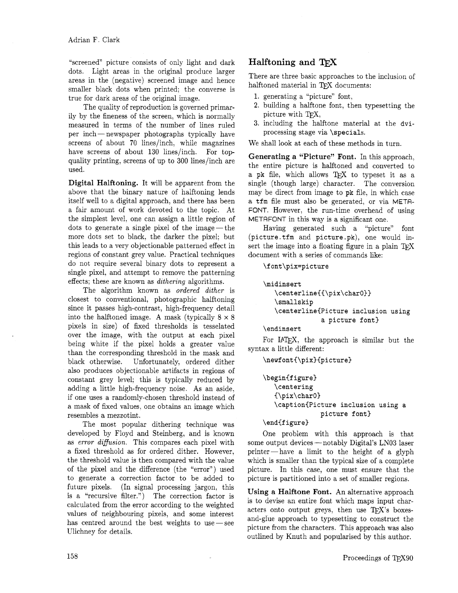"screened" picture consists of only light and dark dots. Light areas in the original produce larger areas in the (negative) screened image and hence smaller black dots when printed; the converse is true for dark areas of the original image.

The quality of reproduction is governed primarily by the fineness of the screen, which is normally measured in terms of the number of lines ruled per inch-newspaper photographs typically have screens of about 70 lines/inch, while magazines have screens of about 130 lines/inch. For topquality printing, screens of up to 300 lines/inch are used.

Digital Halftoning. It will be apparent from the above that the binary nature of halftoning lends itself well to a digital approach, and there has been a fair amount of work devoted to the topic. At the simplest level, one can assign a little region of dots to generate a single pixel of the image— the more dots set to black, the darker the pixel; but this leads to a very objectionable patterned effect in regions of constant grey value. Practical techniques do not require several binary dots to represent a single pixel, and attempt to remove the patterning effects; these are known as *dithering* algorithms.

The algorithm known as *ordered dither* is closest to conventional, photographic halftoning since it passes high-contrast, high-frequency detail into the halftoned image. A mask (typically  $8 \times 8$ pixels in size) of fixed thresholds is tesselated over the image, with the output at each pixel being white if the pixel holds a greater value than the corresponding threshold in the mask and black otherwise. Unfortunately, ordered dither also produces objectionable artifacts in regions of constant grey level; this is typically reduced by adding a little high-frequency noise. As an aside, if one uses a randomly-chosen threshold instead of a mask of fixed values, one obtains an image which resembles a mezzotint.

The most popular dithering technique was developed by Floyd and Steinberg, and is known as *error diffusion.* This compares each pixel with a fixed threshold as for ordered dither. However, the threshold value is then compared with the value of the pixel and the difference (the "error") used to generate a correction factor to be added to future pixels. (In signal processing jargon, this is a "recursive filter.") The correction factor is calculated from the error according to the weighted values of neighbouring pixels, and some interest has centred around the best weights to use $\,-\,\mathrm{see}\,$ Ulichney for details.

# Halftoning and

There are three basic approaches to the inclusion of halftoned material in TFX documents:

- 1, generating a "picture" font,
- 2. building a halftone font, then typesetting the picture with  $T_{E}X$ ,
- 3. including the halftone material at the dviprocessing stage via \specials.

We shall look at each of these methods in turn.

Generating a "Picture" Font. In this approach, the entire picture is haIftoned and converted to a pk file, which allows TEX to typeset it as a single (though large) character. The conversion may be direct from image to **pk** file, in which case a tfm file must also be generated, or via META-FONT. However, the run-time overhead of using METAFONT in this way is a significant one.

Having generated such a "picture" font (picture.tfm and picture.pk), one would insert the image into a floating figure in a plain  $T_F X$ document with a series of commands like:

\font\pix=picture

```
\midinsert 
   \centerline{{\pix\charO)) 
   \smallskip 
   \centerline(Picture inclusion using 
                a picture font)
```
\endinsert

For IAT<sub>F</sub>X, the approach is similar but the syntax a little different:

\newfont{\pix}{picture}

```
\begin{figure}
   \centering
   {\pix\char0}
   \caption{Picture inclusion using a
               picture font)
```
\end{figure)

One problem with this approach is that some output devices - notably Digital's LN03 laser printer-have a limit to the height of a glyph which is smaller than the typical size of a complete picture. In this case, one must ensure that the picture is partitioned into a set of smaller regions.

Using a Halftone Font. An alternative approach is to devise an entire font which maps input characters onto output greys, then use  $T_F X$ 's boxesand-glue approach to typesetting to construct the picture from the characters. This approach was also outlined by Knuth and popularised by this author.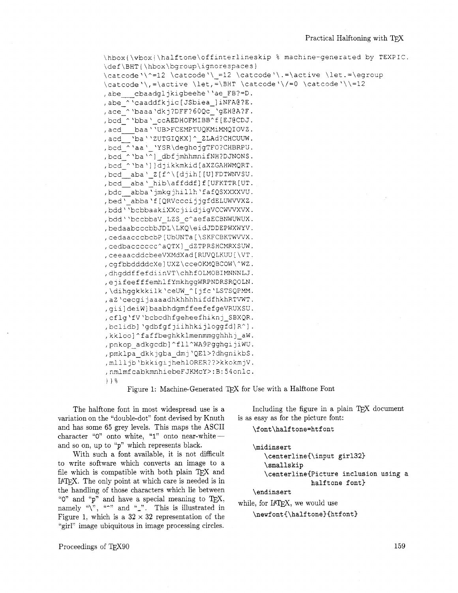```
\hbox{\vbox{\halftone\offinterlineskip % machine-generated by TEXPIC.
\def\BHT{\hbox\bgroup\ignorespaces}
\catcode\\^=12 \catcode\\ =12 \catcode\\.=\active \let.=\egroup
\catcode '\, =\active \let, =\BHT \catcode '\/=0 \catcode '\\=12
, abe cbaadgljkigbeehe''ae FB?=D.
, abe ^'caaddfkjic[JSbiea ]iNFA@?E.
, ace ^'baaa'dkj?DFF?60Qc_'gEH@A?F.
, bcd ^ 'bba ' ccAEDHOFMIBB^f [EJ@CDJ.
, acd baa''UB>FCEMPTUQKMiMMQIOVZ.
, acd ba' 'ZUTGIQKX] ^_ZLAd?CHCUUW.
, bcd ^'aa' 'YSR\deghojgTFO?CHBRPU.
, bcd_^'ba'^]_dbfjmhhmnifNH?DJNONS.
, bcd_^'ba'] ]djikkmkid[aXZGAHWMQRT.
, bcd_aba'_Z[f^\[djih[[U]FDTWNVSU.
, bcd_aba'_hib\affddf]f[UFKTTR[UT.
, bdc abba'jmkgjhillh'fafQSXXXXVU.
, bed' abba'f [QRVcccijjgfdELUWVVXZ.
, bdd''bcbbaakiXXcjiidjigVCCWVVXVX.
, bdd''bccbbaV LZS c^aefaECBNWUWUX.
, bedaabcccbbJDL\LKQ\eidJDDEPWXWYV.
, cedaacccbcbP [UbUNTa [\SKFCBKTWVVX.
, cedbacccccc^aQTX] dZTPRSHCMRXSUW.
, ceeaacddcbeeVXMdXad [RUVQLKUU [\VT.
, cgfbbddddcXe]UXZ\cceOKMQBCOW\^WZ.
, dhqddffefdiinVT\chhfOLMOBIMNNNLJ.
, ejifeefffemhlfYmkhggWRPNDRSRQOLN.
, \dihqqkkkilk 'ceUW ^[jfc 'LSTSQPMM.
, aZ 'cecgijaaaadhkhhhhifdfhkhRTVWT.
, gii]deiW]baabhdgmffeefefgeVRUXSU.
, cflg'fV'bcbcdhfgeheefhiknj_SBXQR.
, bclidb] 'qdbfqfjiihhkijlogqfd]R^].
, kkloo]^faffbeghkklmenmmgghhhj aW.
, pnkop adkgcdb]^fll^WA9PgghgijiWU.
, pmklpa dkkjgba dmj'QE1>?dhgnikbS.
, mllljb'bkkigijhehlORER??>kkokmjV.
, nmlmfcabkmnhiebeFJKMcY>:B:54onlc.
} } %
```
Figure 1: Machine-Generated TEX for Use with a Halftone Font

The halftone font in most widespread use is a variation on the "double-dot" font devised by Knuth and has some 65 grey levels. This maps the ASCII character "0" onto white, "1" onto near-whiteand so on, up to "p" which represents black.

With such a font available, it is not difficult to write software which converts an image to a file which is compatible with both plain TEX and IATEX. The only point at which care is needed is in the handling of those characters which lie between "0" and "p" and have a special meaning to TEX, namely " $\gamma$ ", " $\gamma$ " and "\_". This is illustrated in Figure 1, which is a  $32 \times 32$  representation of the "girl" image ubiquitous in image processing circles.

Including the figure in a plain TEX document is as easy as for the picture font:

\font\halftone=htfont

```
\midinsert
  \centerline{\input girl32}
  \smallskip
  \centerline{Picture inclusion using a
               halftone font}
```
\endinsert

while, for IATEX, we would use

\newfont{\halftone}{htfont}

Proceedings of TFX90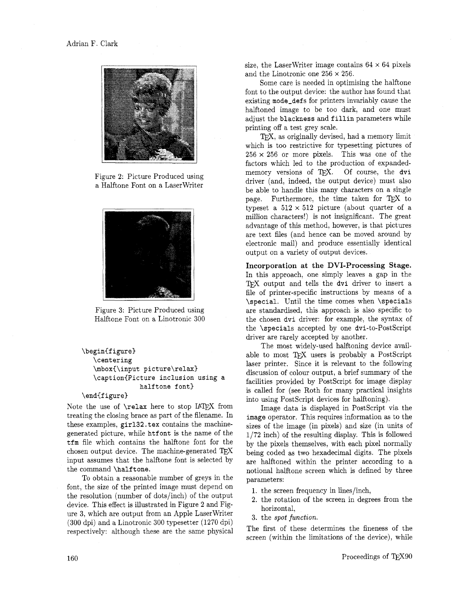

Figure 2: Picture Produced using a Halftone Font on a LaserWriter



Figure 3: Picture Produced using Halftone Font on a Linotronic 300

```
\begin{cases}\centering 
   \mboxi\input picture\relax) 
   \caption{Picture inclusion using a
               halftone font)
```
#### \end{figure}

Note the use of  $\relaxright$  here to stop IATEX from treating the closing brace as part of the filename. In these examples, girl32.tex contains the machinegenerated picture, while htfont is the name of the tfm file which contains the halftone font for the chosen output device. The machine-generated  $T_{E}X$ input assumes that the halftone font is selected by the command \halftone.

To obtain a reasonable number of greys in the font, the size of the printed image must depend on the resolution (number of dots/inch) of the output device. This effect is illustrated in Figure 2 and Figure 3, which are output from an Apple LaserWriter (300 dpi) and a Linotronic 300 typesetter (1270 dpi) respectively: although these are the same physical size, the LaserWriter image contains  $64 \times 64$  pixels and the Linotronic one  $256 \times 256$ .

Some care is needed in optimising the halftone font to the output device: the author has found that existing mode\_defs for printers invariably cause the halftoned image to be too dark, and one must adjust the blackness and fillin parameters while printing off a test grey scale.

TEX, as originally devised, had a memory limit which is too restrictive for typesetting pictures of  $256 \times 256$  or more pixels. This was one of the factors which led to the production of expanded-<br>memory versions of T<sub>E</sub>X. Of course, the dvi driver (and, indeed, the output device) must also be able to handle this many characters on a single page. Furthermore, the time taken for TEX to typeset a  $512 \times 512$  picture (about quarter of a million characters!) is not insignificant. The great advantage of this method, however, is that pictures are text files (and hence can be moved around by electronic mail) and produce essentially identical output on a variety of output devices.

**Incorporation at the DVI-Processing Stage.**  In this approach, one simply leaves a gap in the TFX output and tells the dvi driver to insert a file of printer-specific instructions by means of a \special. Until the time comes when \specials are standardised, this approach is also specific to the chosen dvi driver: for example, the syntax of the \specials accepted by one dvi-to-PostScript driver are rarely accepted by another.

The most widely-used halftoning device available to most TEX users is probably a PostScript laser printer. Since it is relevant to the following discussion of colour output, a brief summary of the facilities provided by PostScript for image display is called for (see Roth for many practical insights into using PostScript devices for halftoning).

Image data is displayed in PostScript via the image operator. This requires information as to the sizes of the image (in pixels) and size (in units of 1/72 inch) of the resulting display. This is followed by the pixels themselves, with each pixel normally being coded as two hexadecimal digits. The pixels are halftoned within the printer according to a notional halftone screen which is defined by three parameters:

- 1. the screen frequency in lines/inch,
- 2. the rotation of the screen in degrees from the horizontal.
- 3. the spot **function.**

The first of these determines the fineness of the screen (within the limitations of the device), while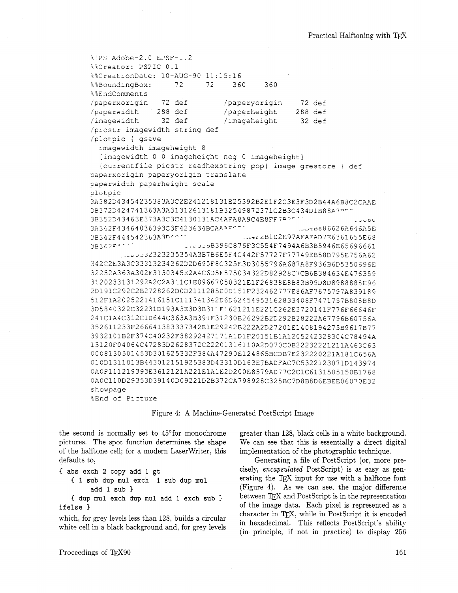```
§!PS-Adobe-2.0 EPSF-1.2
i & Creator: PSPIC 0.1
%&CreationDate: 10-AUG-90 11:15:16
                          72
%%BoundingBox:
                   72
                                360
                                       360
&&EndComments
/paperxorigin
                72 def
                              /paperyorigin
                                                72 def
               288 def
/paperwidth
                              /paperheight
                                               288 def
/imagewidth
                32 def
                              /imageheight
                                                32 def
/picstr imagewidth string def
/plotpic { gsave
  imagewidth imageheight 8
  [imagewidth 0 0 imageheight neg 0 imageheight]
  {currentfile picstr readhexstring pop} image grestore } def
paperxorigin paperyorigin translate
paperwidth paperheight scale
plotpic
3A382D43454235383A3C2E241218131E25392B2E1F2C3E3F3D2B44A6B8C2CAAE
3B372D424741363A3A31312613181B32549872371C2B3C434D1B88A7PD
3B352D43463E373A3C3C4130131AC4AFA8A9C4E8FF7P?"
                                                            1000c3A342F43464036393C3F423634BCAAAFCT
                                               UU4B886626A646A5E
3B342F444542363A3D4011
                                  ... 102E97AFAFAD7E6361655E683B342F441
                     1.12306B396C876F3C554F7494A6B3B5946E65696661Juu0032323235354A3B7B6E5F4C442F57727F77749EB58D795E756A62
342C2E3A3C33313234362D2D695F8C325E3D3055796A687A8F936B6D5350696E
32252A363A302F3130345E2A4C6D5F575034322D82928C7CB6B384634E476359
3120233131292A2C2A311C1E09667050321E1F26838E8B83B99D8D8988888E96
2D191C292C2B2728262D0D2111285D0D151F232462777E86AF7675797A839189
512F1A2025221416151C111341342D6D62454953162833408F7471757B808B8D
3D5840322C32231D193A3E3D3B311F1621211E221C262E2720141F776F66646F
241C1A4C312C1D644C363A3B391F31230B26292B2D292B28222A67796B60756A
352611233F266641383337342E1E29242B222A2D27201E1408194275B9617B77
3932101B2F374C40232F38292427171A1D1F20151B1A1205242328304C78494A
13120F04064C47283D2628372C22201316110A2D070C0B22232221211A463C63
0008130501453D301625332F384A47290E124865BCDB7E232220221A181C656A
010D1311013B443012151925383D43310D163E7BADFAC7C5322123071D143974
0A0F111219393E3612121A221E1A1E2D200E8579AD77C2C1C6131505150B1768
0A0C110D29353D39140D09221D2B372CA798928C325BC7D8B8D6EBEE06070E32
showpage
%End of Picture
```
Figure 4: A Machine-Generated PostScript Image

the second is normally set to 45<sup>o</sup>for monochrome pictures. The spot function determines the shape of the halftone cell; for a modern Laser Writer, this defaults to,

```
{ abs exch 2 copy add 1 gt
  { 1 sub dup mul exch 1 sub dup mul
       add 1 sub{ dup mul exch dup mul add 1 exch sub }
```

```
ifelse }
```
which, for grey levels less than 128, builds a circular white cell in a black background and, for grey levels greater than 128, black cells in a white background. We can see that this is essentially a direct digital implementation of the photographic technique.

Generating a file of PostScript (or, more precisely, encapsulated PostScript) is as easy as generating the TEX input for use with a halftone font (Figure 4). As we can see, the major difference between TFX and PostScript is in the representation of the image data. Each pixel is represented as a character in TFX, while in PostScript it is encoded in hexadecimal. This reflects PostScript's ability (in principle, if not in practice) to display 256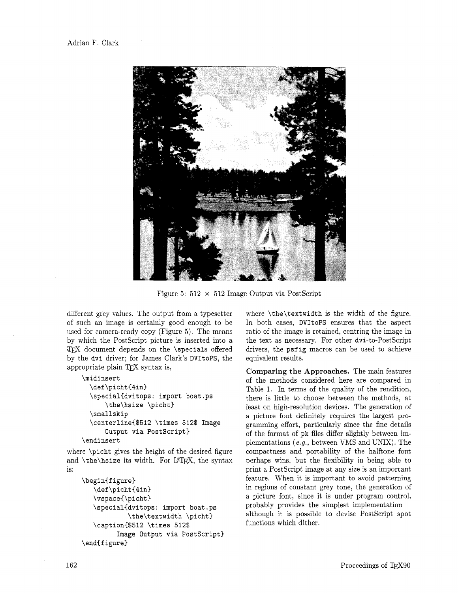

Figure 5:  $512 \times 512$  Image Output via PostScript

different grey values. The output from a typesetter of such an image is certainly good enough to be used for camera-ready copy (Figure **5).** The means by which the PostScript picture is inserted into a  $TFX$  document depends on the **\specials** offered by the **dvi** driver; for James Clark's **DVItoPS,** the appropriate plain TEX syntax is,

#### **\midinsert**

```
\def\picht(4in) 
  \special(dvitops : import boat .ps 
      \the\hsize \picht) 
  \smallskip 
  \centerline($512 \times 512$ Image 
      Output via Postscript) 
\endinsert
```
where **\picht** gives the height of the desired figure and  $\theta$  size its width. For IAT<sub>F</sub>X, the syntax is:

```
\begin(figure) 
   \def \picht (4in) 
   \vspace{\picht 3 
   \special(dvitops: import boat.ps 
            \the\textwidth \picht) 
   \caption($512 \times 512$ 
         Image Output via Postscript) 
\end{figure}
```
where **\the\textwidth** is the width of the figure. In both cases, **DVItoPS** ensures that the aspect ratio of the image is retained, centring the image in the text as necessary. For other dvi-to-PostScript drivers, the **psfig** macros can be used to achieve equivalent results.

**Comparing the Approaches.** The main features of the methods considered here are compared in Table **1.** In terms of the quality of the rendition, there is little to choose between the methods, at least on high-resolution devices. The generation of a picture font definitely requires the largest programming effort, particularly since the fine details of the format of **pk** files differ slightly between implementations (e.g., between VMS and UNIX). The compactness and portability of the halftone font perhaps wins, but the flexibility in being able to print a PostScript image at any size is an important feature. When it is important to avoid patterning in regions of constant grey tone, the generation of a picture font, since it is under program control, probably provides the simplest implementationalthough it is possible to devise PostScript spot functions which dither.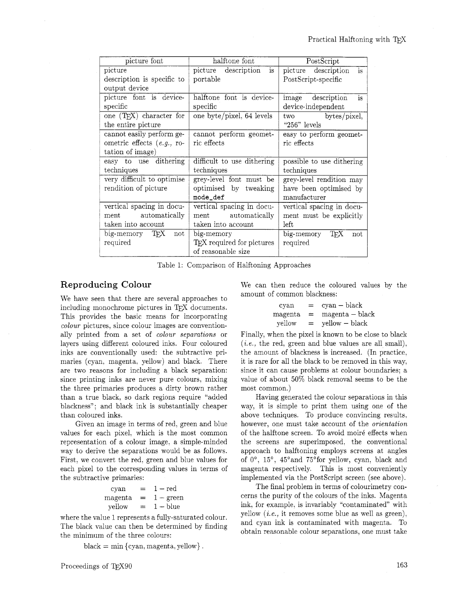| picture font                         | halftone font                          | PostScript                 |
|--------------------------------------|----------------------------------------|----------------------------|
| picture                              | is<br>description<br>picture           | picture description<br>is  |
| description is specific to           | portable                               | PostScript-specific        |
| output device                        |                                        |                            |
| picture font is device-              | halftone font is device-               | image description<br>is    |
| specific                             | specific                               | device-independent         |
| one (T <sub>F</sub> X) character for | one byte/pixel, 64 levels              | two bytes/pixel,           |
| the entire picture                   |                                        | " $256$ " levels           |
| cannot easily perform ge-            | cannot perform geomet-                 | easy to perform geomet-    |
| ometric effects $(e.g.,$ ro-         | ric effects                            | ric effects                |
| tation of image)                     |                                        |                            |
| easy to use dithering                | difficult to use dithering             | possible to use dithering  |
| techniques                           | techniques                             | techniques                 |
| very difficult to optimise           | grey-level font must be                | grey-level rendition may   |
| rendition of picture                 | optimised by tweaking                  | have been optimised by     |
|                                      | mode_def                               | manufacturer               |
| vertical spacing in docu-            | vertical spacing in docu-              | vertical spacing in docu-  |
| ment automatically                   | ment automatically                     | ment must be explicitly    |
| taken into account                   | taken into account                     | left                       |
| big-memory TEX<br>not                | big-memory                             | $big-memory$<br>TEX<br>not |
| required                             | T <sub>E</sub> X required for pictures | required                   |
|                                      | of reasonable size                     |                            |

Table 1: Comparison of Halftoning Approaches

### Reproducing Colour

We have seen that there are several approaches to including monochrome pictures in TEX documents. This provides the basic means for incorporating colour pictures, since colour images are conventionally printed from a set of colour separations or layers using different coloured inks. Four coloured inks are conventionally used: the subtractive primaries (cyan. magenta, yellow) and black. There are two reasons for including a black separation: since printing inks are never pure colours, mixing the three primaries produces a dirty brown rather than a true black. so dark regions require "added blackness"; and black ink is substantially cheaper than coloured inks.

Given an image in terms of red, green and blue values for each pixel, which is the most common representation of a colour image. a simple-minded way to derive the separations would be as follows. First, we convert the red. green and blue values for each pixel to the corresponding values in terms of the subtractive primaries:

| cyan    | $=$ | $1 - red$   |
|---------|-----|-------------|
| magenta | $=$ | $1 - green$ |
| vellow  | $=$ | $1 - blue$  |

where the value 1 represents a fully-saturated colour. The black value can then be determined by finding the minimum of the three colours:

 $black = min \{cyan, magn, a, yellow\}$ .

way, it is simple to print them using one of the

most common.)

above techniques. To produce convincing results, however, one must take account of the orientation of the halftone screen. To avoid moiré effects when the screens are superimposed, the conventional approach to halftoning employs screens at angles of  $0^\circ$ ,  $15^\circ$ ,  $45^\circ$  and  $75^\circ$  for yellow, cyan, black and magenta respectively. This is most conveniently implemented via the PostScript screen (see above).

Having generated the colour separations in this

We can then reduce the coloured values by the

Finally, when the pixel is known to be close to black  $(i.e., the red, green and blue values are all small),$ the amount of blackness is increased. (In practice, it is rare for all the black to be removed in this way, since it can cause problems at colour boundaries; a value of about 50% black removal seems to be the

 $yellow - black$ 

cyan = cyan - black<br>magenta = magenta - bl  $magenta = 0$  magenta - black<br>vellow = vellow - black

amount of common blackness:

The final problem in terms of colourimetry concerns the purity of the colours of the inks. Magenta ink, for example, is invariably "contaminated" with yellow **(ie.,** it removes some blue as well as green), and cyan ink is contaminated with magenta. To obtain reasonable colour separations, one must take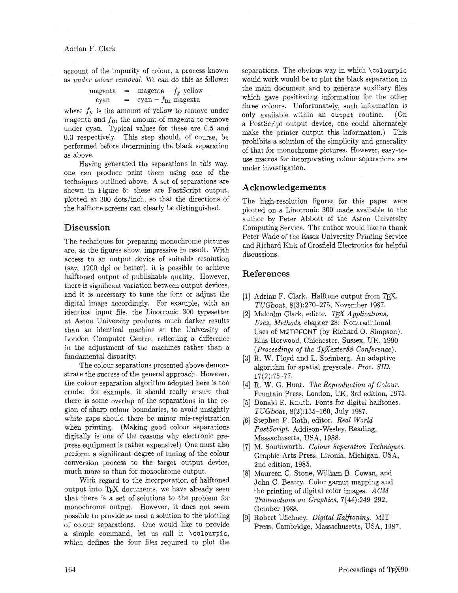Adrian F. Clark

account of the impurity of colour, a process known as under colour removal. We can do this as follows:<br>  $\text{magenta} = \text{magenta} - f_y \text{ yellow}$ 

$$
\begin{array}{rcl}\n\text{magenta} & = & \text{magenta} - f_{\text{y}} \text{ yellow} \\
\text{cyan} & = & \text{cyan} - f_{\text{m}} \text{magenta}\n\end{array}
$$

where  $f_V$  is the amount of yellow to remove under magenta and  $f<sub>m</sub>$  the amount of magenta to remove under cyan. Typical values for these are 0.5 and 0.3 respectively. This step should, of course, be performed before determining the black separation as above.

Having generated the separations in this way, one can produce print them using one of the techniques outlined above. A set of separations are shown in Figure 6: these are PostScript output, plotted at 300 dots/inch, so that the directions of the halftone screens can clearly be distinguished.

### **Discussion**

The techniques for preparing monochrome pictures are. as the figures show, impressive in result. With access to an output device of suitable resolution (say, 1200 dpi or better), it is possible to achieve halftoned output of publishable quality. However, there is significant variation between output devices, and it is necessary to tune the font or adjust the digital image accordingly. For example, with an identical input file, the Linotronic 300 typesetter at Aston University produces much darker results than an identical machine at the University of London Computer Centre, reflecting a difference in the adjustment of the machines rather than a fundamental disparity.

The colour separations presented above demonstrate the success of the general approach. However, the colour separation algorithm adopted here is too crude: for example, it should really ensure that there is some overlap of the separations in the region of sharp colour boundaries, to avoid unsightly white gaps should there be minor mis-registration when printing. (Making good colour separations digitally is one of the reasons why electronic prepress equipment is rather expensive!) One must also perform a significant degree of tuning of the colour conversion process to the target output device, much more so than for monochrome output.

With regard to the incorporation of halftoned output into TEX documents, we have already seen that there is a set of solutions to the problem for monochrome output. However, it does not seem possible to provide as neat a solution to the plotting of colour separations. One would like to provide a simple command, let us call it \colourpic, which defines the four files required to plot the

separations. The obvious way in which \colourpic would work would be to plot the black separation in the main document and to generate auxiliary files which gave positioning information for the other three colours. Unfortunately, such information is only available within an output routine. (On a PostScript output device, one could alternately make the printer output this information.) This prohibits a solution of the simplicity and generality of that for monochrome pictures. However, easy-touse macros for incorporating colour separations are under investigation.

### **Acknowledgements**

The high-resolution figures for this paper were plotted on a Linotronic 300 made available to the author by Peter Abbott of the Aston University Computing Service. The author would like to thank Peter Wade of the Essex University Printing Service and Richard Kirk of Crosfield Electronics for helpful discussions.

### **References**

- [1] Adrian F. Clark. Halftone output from TEX. TUGboat, 8(3):270-275, November 1987.
- [2] Malcolm Clark, editor. *TEX Applications,* Uses, Methods. chapter 28: Nontraditional Uses of METRFONT (by Richard 0. Simpson). Ellis Horwood, Chichester, Sussex, UK, 1990 (Proceedings of the TEX exter $88$  Conference).
- [3] R. W. Floyd and L. Steinberg. An adaptive algorithm for spatial greyscale. Proc. SID. 17(2):75-77.
- [4] R. W. G. Hunt. The Reproduction of Colour. Fountain Press, London, UK, 3rd edition, 1975.
- Donald E. Knuth. Fonts for digital halftones.  $\lceil 5 \rceil$ TUGboat, 8(2):135-160, July 1987.
- [6] Stephen F. Roth, editor. Real World PostScript. Addison-Wesley, Reading, Massachusetts, USA, 1988.
- [7] M. Southworth. Colour Separation Techniques. Graphic Arts Press, Livonia. Michigan, USA. 2nd edition, 1985.
- Maureen C. Stone, William B. Cowan, and John C. Beatty. Color gamut mapping and the printing of digital color images. ACM Transactions on Graphics, 7(44):249-292. October 1988.
- [9] Robert Ulichney. Digital Halftoning. MIT Press, Cambridge, Massachusetts, USA, 1987.